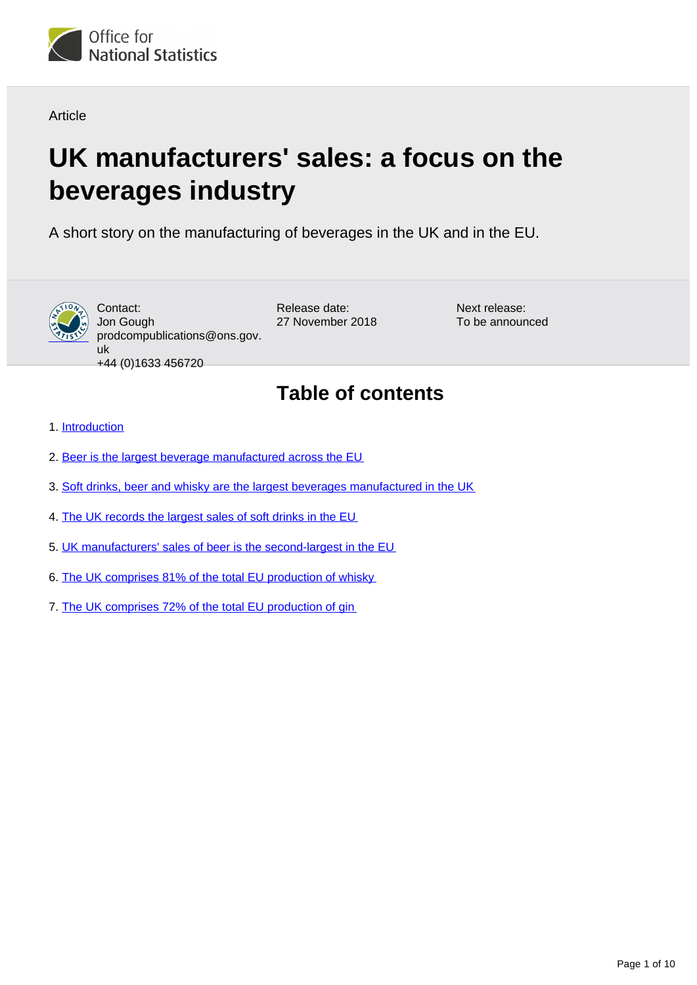

**Article** 

# **UK manufacturers' sales: a focus on the beverages industry**

A short story on the manufacturing of beverages in the UK and in the EU.



Contact: Jon Gough prodcompublications@ons.gov. uk +44 (0)1633 456720

Release date: 27 November 2018 Next release: To be announced

## **Table of contents**

- 1. [Introduction](#page-1-0)
- 2. [Beer is the largest beverage manufactured across the EU](#page-2-0)
- 3. [Soft drinks, beer and whisky are the largest beverages manufactured in the UK](#page-4-0)
- 4. [The UK records the largest sales of soft drinks in the EU](#page-5-0)
- 5. [UK manufacturers' sales of beer is the second-largest in the EU](#page-6-0)
- 6. [The UK comprises 81% of the total EU production of whisky](#page-7-0)
- 7. [The UK comprises 72% of the total EU production of gin](#page-8-0)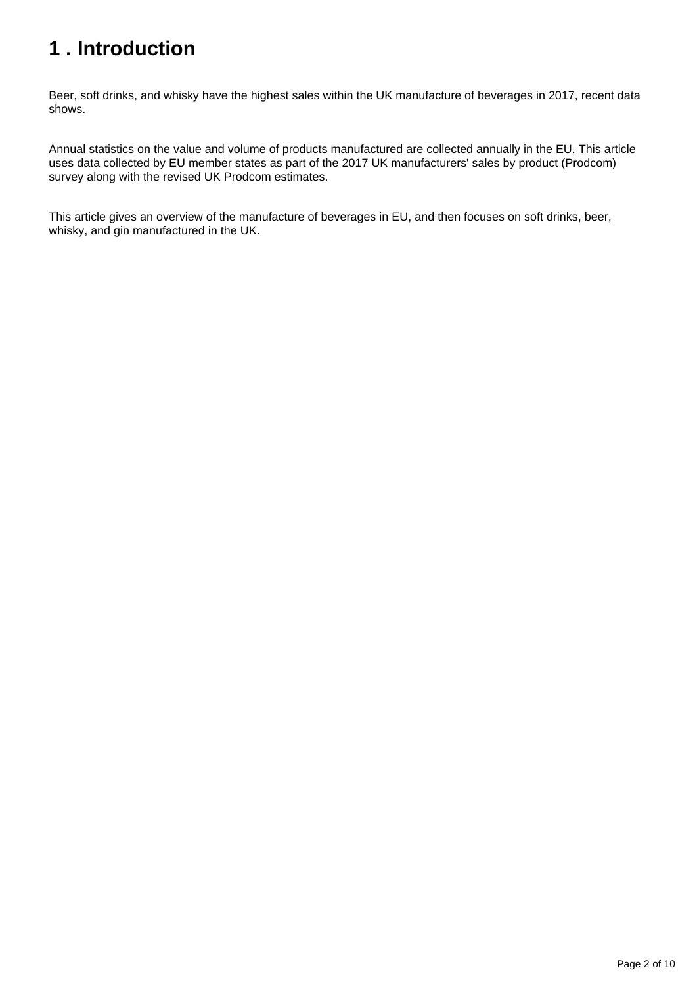# <span id="page-1-0"></span>**1 . Introduction**

Beer, soft drinks, and whisky have the highest sales within the UK manufacture of beverages in 2017, recent data shows.

Annual statistics on the value and volume of products manufactured are collected annually in the EU. This article uses data collected by EU member states as part of the 2017 UK manufacturers' sales by product (Prodcom) survey along with the revised UK Prodcom estimates.

This article gives an overview of the manufacture of beverages in EU, and then focuses on soft drinks, beer, whisky, and gin manufactured in the UK.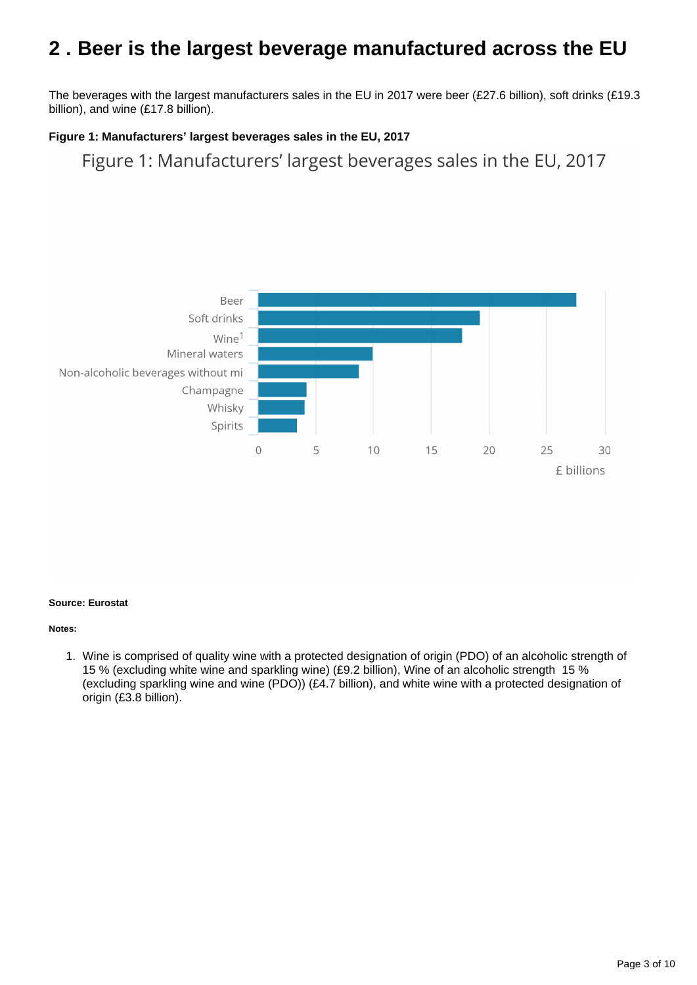### <span id="page-2-0"></span>**2 . Beer is the largest beverage manufactured across the EU**

The beverages with the largest manufacturers sales in the EU in 2017 were beer (£27.6 billion), soft drinks (£19.3 billion), and wine (£17.8 billion).

#### **Figure 1: Manufacturers' largest beverages sales in the EU, 2017**

Figure 1: Manufacturers' largest beverages sales in the EU, 2017



#### **Source: Eurostat**

#### **Notes:**

1. Wine is comprised of quality wine with a protected designation of origin (PDO) of an alcoholic strength of 15 % (excluding white wine and sparkling wine) (£9.2 billion), Wine of an alcoholic strength 15 % (excluding sparkling wine and wine (PDO)) (£4.7 billion), and white wine with a protected designation of origin (£3.8 billion).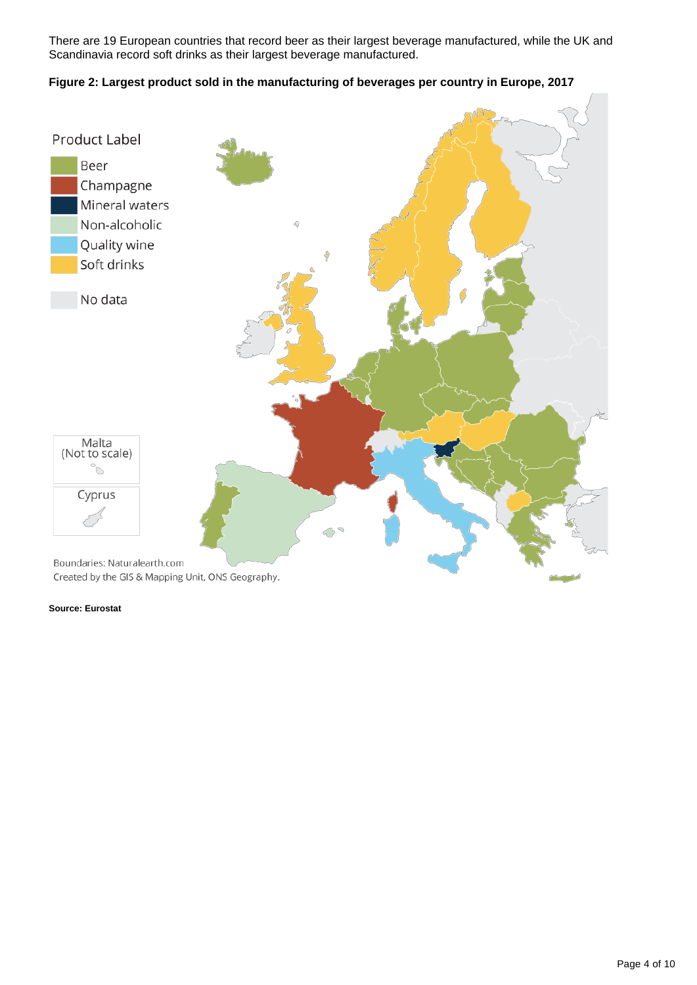There are 19 European countries that record beer as their largest beverage manufactured, while the UK and Scandinavia record soft drinks as their largest beverage manufactured.

#### **Figure 2: Largest product sold in the manufacturing of beverages per country in Europe, 2017**

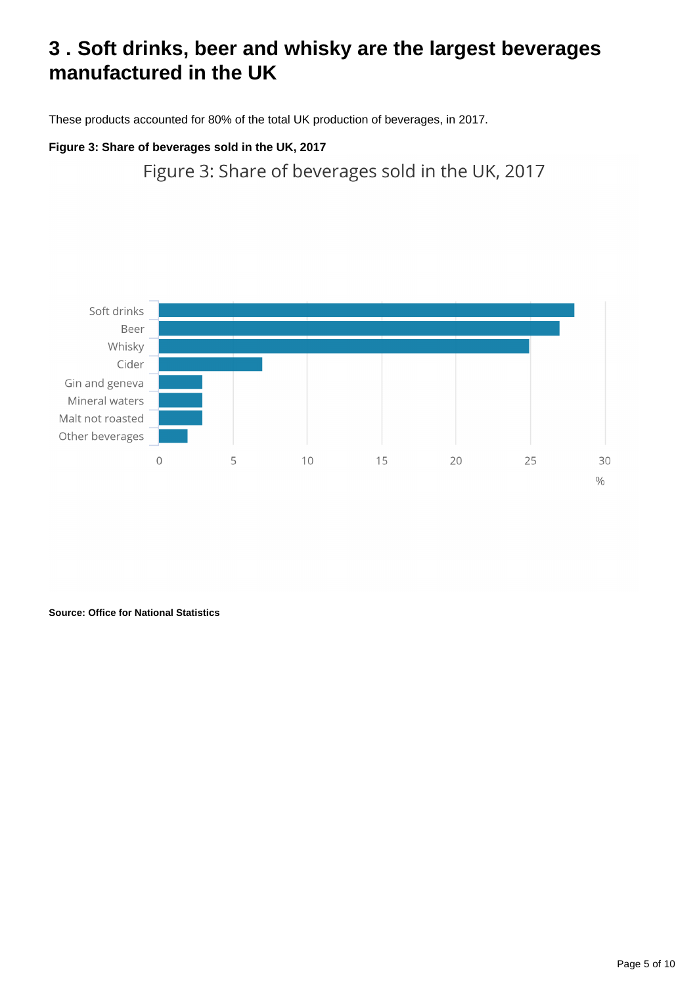### <span id="page-4-0"></span>**3 . Soft drinks, beer and whisky are the largest beverages manufactured in the UK**

These products accounted for 80% of the total UK production of beverages, in 2017.

### **Figure 3: Share of beverages sold in the UK, 2017**

Figure 3: Share of beverages sold in the UK, 2017



**Source: Office for National Statistics**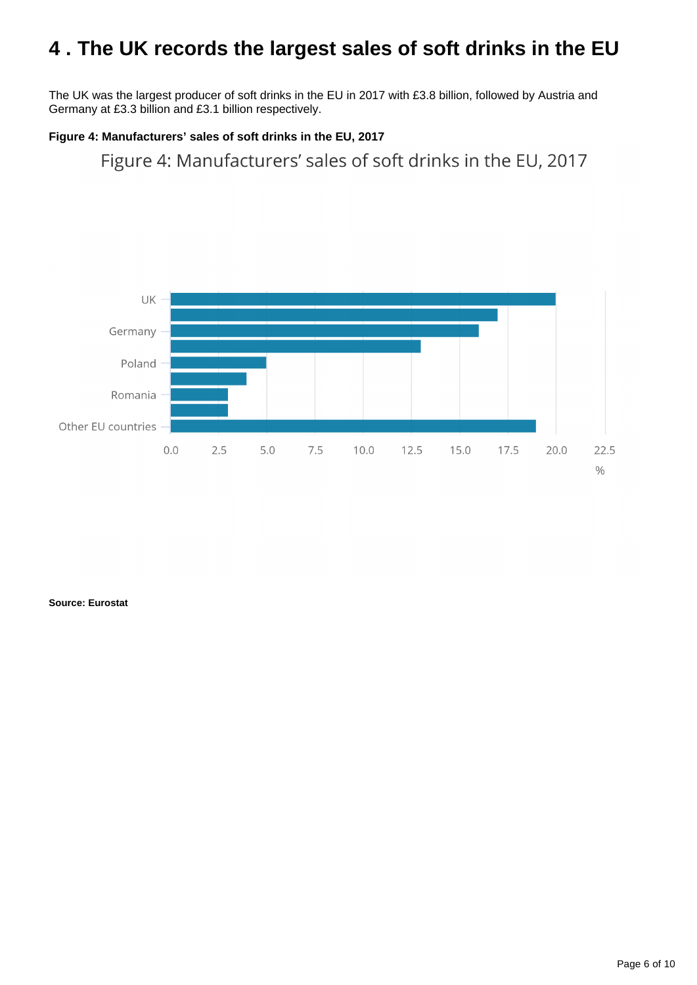### <span id="page-5-0"></span>**4 . The UK records the largest sales of soft drinks in the EU**

The UK was the largest producer of soft drinks in the EU in 2017 with £3.8 billion, followed by Austria and Germany at £3.3 billion and £3.1 billion respectively.

#### **Figure 4: Manufacturers' sales of soft drinks in the EU, 2017**

Figure 4: Manufacturers' sales of soft drinks in the EU, 2017

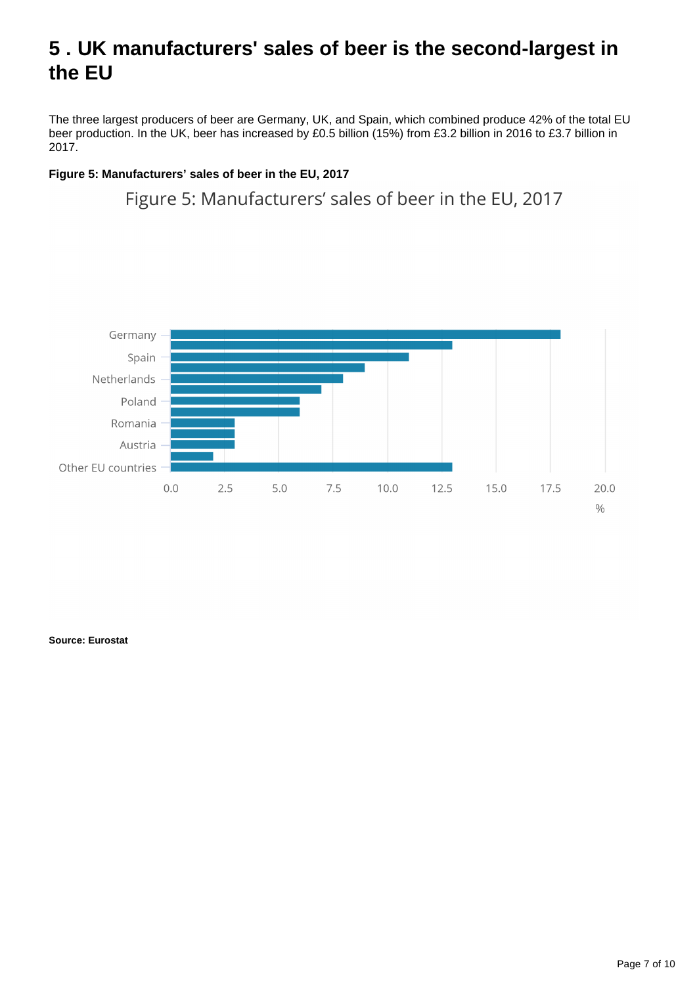### <span id="page-6-0"></span>**5 . UK manufacturers' sales of beer is the second-largest in the EU**

The three largest producers of beer are Germany, UK, and Spain, which combined produce 42% of the total EU beer production. In the UK, beer has increased by £0.5 billion (15%) from £3.2 billion in 2016 to £3.7 billion in 2017.

#### **Figure 5: Manufacturers' sales of beer in the EU, 2017**

Figure 5: Manufacturers' sales of beer in the EU, 2017

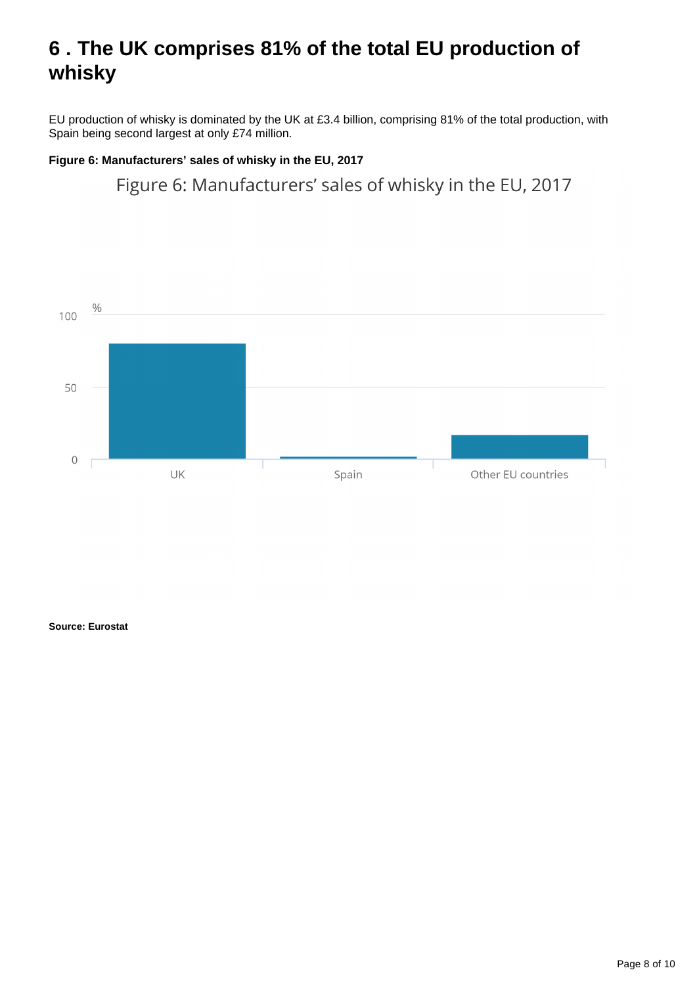### <span id="page-7-0"></span>**6 . The UK comprises 81% of the total EU production of whisky**

EU production of whisky is dominated by the UK at £3.4 billion, comprising 81% of the total production, with Spain being second largest at only £74 million.

#### **Figure 6: Manufacturers' sales of whisky in the EU, 2017**

Figure 6: Manufacturers' sales of whisky in the EU, 2017

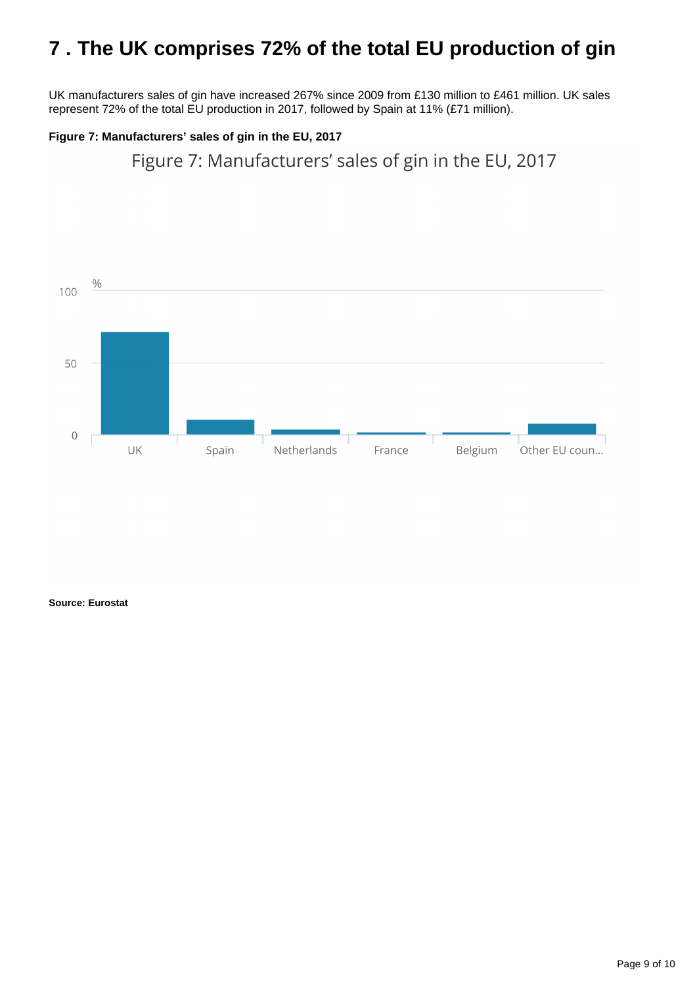### <span id="page-8-0"></span>**7 . The UK comprises 72% of the total EU production of gin**

UK manufacturers sales of gin have increased 267% since 2009 from £130 million to £461 million. UK sales represent 72% of the total EU production in 2017, followed by Spain at 11% (£71 million).

#### **Figure 7: Manufacturers' sales of gin in the EU, 2017**

Figure 7: Manufacturers' sales of gin in the EU, 2017